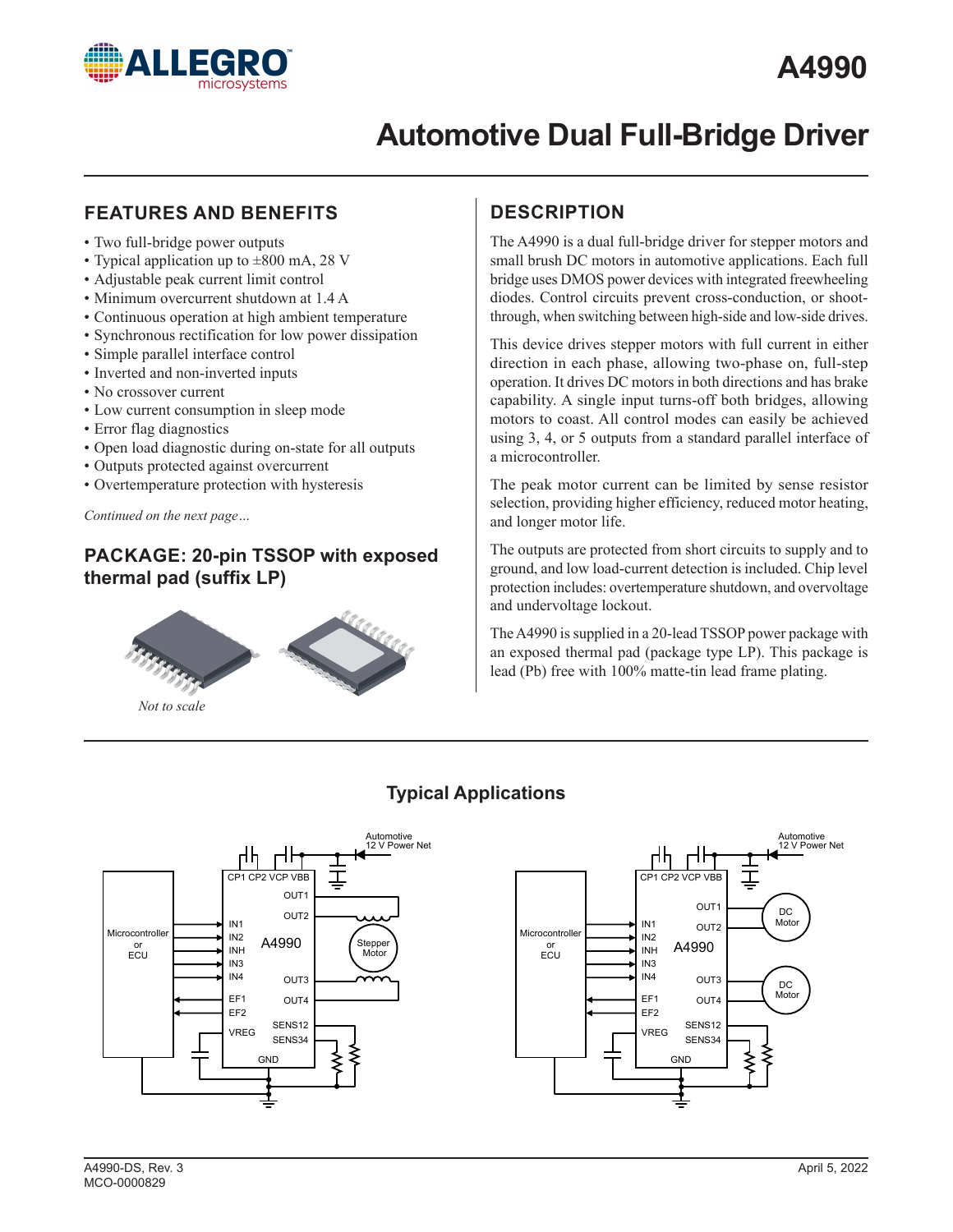

## **FEATURES AND BENEFITS**

- Two full-bridge power outputs
- Typical application up to  $\pm 800$  mA, 28 V
- Adjustable peak current limit control
- Minimum overcurrent shutdown at 1.4 A
- Continuous operation at high ambient temperature
- Synchronous rectification for low power dissipation
- Simple parallel interface control
- Inverted and non-inverted inputs
- No crossover current
- Low current consumption in sleep mode
- Error flag diagnostics
- Open load diagnostic during on-state for all outputs
- Outputs protected against overcurrent
- Overtemperature protection with hysteresis

*Continued on the next page…*

## **PACKAGE: 20-pin TSSOP with exposed thermal pad (suffix LP)**



*Not to scale*

## **DESCRIPTION**

The A4990 is a dual full-bridge driver for stepper motors and small brush DC motors in automotive applications. Each full bridge uses DMOS power devices with integrated freewheeling diodes. Control circuits prevent cross-conduction, or shootthrough, when switching between high-side and low-side drives.

This device drives stepper motors with full current in either direction in each phase, allowing two-phase on, full-step operation. It drives DC motors in both directions and has brake capability. A single input turns-off both bridges, allowing motors to coast. All control modes can easily be achieved using 3, 4, or 5 outputs from a standard parallel interface of a microcontroller.

The peak motor current can be limited by sense resistor selection, providing higher efficiency, reduced motor heating, and longer motor life.

The outputs are protected from short circuits to supply and to ground, and low load-current detection is included. Chip level protection includes: overtemperature shutdown, and overvoltage and undervoltage lockout.

The A4990 is supplied in a 20-lead TSSOP power package with an exposed thermal pad (package type LP). This package is lead (Pb) free with 100% matte-tin lead frame plating.



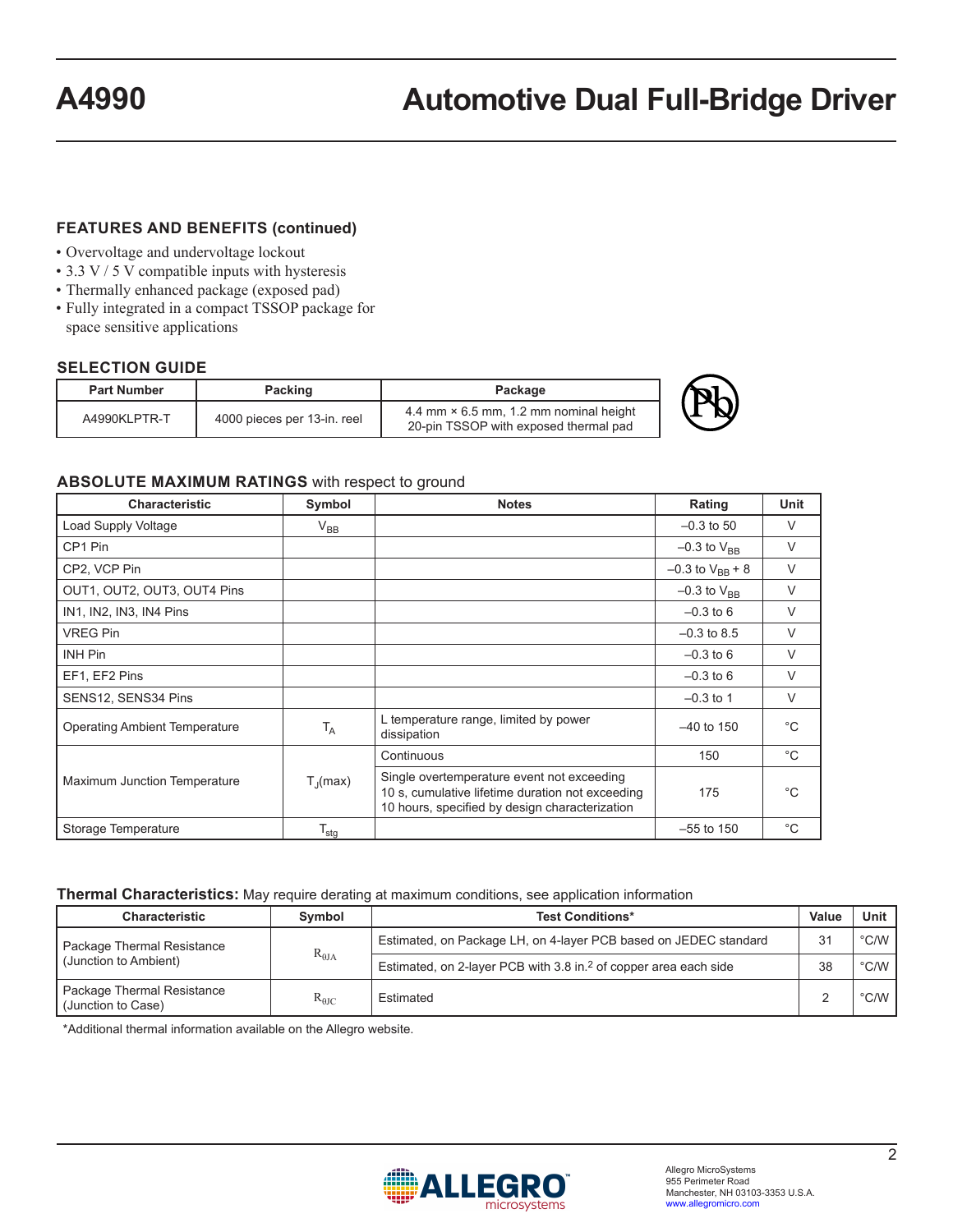### **FEATURES AND BENEFITS (continued)**

- Overvoltage and undervoltage lockout
- 3.3 V / 5 V compatible inputs with hysteresis
- Thermally enhanced package (exposed pad)
- Fully integrated in a compact TSSOP package for space sensitive applications

### **SELECTION GUIDE**

| <b>Part Number</b> | Packing                     | Package                                                                                |  |
|--------------------|-----------------------------|----------------------------------------------------------------------------------------|--|
| A4990KLPTR-T       | 4000 pieces per 13-in. reel | 4.4 mm $\times$ 6.5 mm, 1.2 mm nominal height<br>20-pin TSSOP with exposed thermal pad |  |



### **ABSOLUTE MAXIMUM RATINGS** with respect to ground

| <b>Characteristic</b>                | Symbol                | <b>Notes</b>                                                                                                                                     | Rating                 | Unit         |
|--------------------------------------|-----------------------|--------------------------------------------------------------------------------------------------------------------------------------------------|------------------------|--------------|
| Load Supply Voltage                  | $V_{BB}$              |                                                                                                                                                  | $-0.3$ to 50           | $\vee$       |
| CP1 Pin                              |                       |                                                                                                                                                  | $-0.3$ to $V_{BR}$     | $\vee$       |
| CP2, VCP Pin                         |                       |                                                                                                                                                  | $-0.3$ to $V_{BB}$ + 8 | $\vee$       |
| OUT1, OUT2, OUT3, OUT4 Pins          |                       |                                                                                                                                                  | $-0.3$ to $V_{BR}$     | $\vee$       |
| IN1, IN2, IN3, IN4 Pins              |                       |                                                                                                                                                  | $-0.3$ to 6            | $\vee$       |
| <b>VREG Pin</b>                      |                       |                                                                                                                                                  | $-0.3$ to 8.5          | $\vee$       |
| <b>INH Pin</b>                       |                       |                                                                                                                                                  | $-0.3$ to 6            | $\vee$       |
| EF1, EF2 Pins                        |                       |                                                                                                                                                  | $-0.3$ to 6            | $\vee$       |
| SENS12, SENS34 Pins                  |                       |                                                                                                                                                  | $-0.3$ to 1            | $\vee$       |
| <b>Operating Ambient Temperature</b> | $T_A$                 | L temperature range, limited by power<br>dissipation                                                                                             | $-40$ to 150           | $^{\circ}C$  |
|                                      |                       | Continuous                                                                                                                                       | 150                    | $^{\circ}C$  |
| Maximum Junction Temperature         | $T_{\parallel}$ (max) | Single overtemperature event not exceeding<br>10 s, cumulative lifetime duration not exceeding<br>10 hours, specified by design characterization | 175                    | °C           |
| Storage Temperature                  | $T_{\text{stg}}$      |                                                                                                                                                  | $-55$ to 150           | $^{\circ}$ C |

### **Thermal Characteristics:** May require derating at maximum conditions, see application information

| <b>Characteristic</b><br>Symbol<br><b>Test Conditions*</b> |                 | Value                                                                        | Unit |               |
|------------------------------------------------------------|-----------------|------------------------------------------------------------------------------|------|---------------|
| Package Thermal Resistance                                 |                 | Estimated, on Package LH, on 4-layer PCB based on JEDEC standard             | 31   | $\degree$ C/W |
| l (Junction to Ambient)                                    | $R_{\theta JA}$ | Estimated, on 2-layer PCB with 3.8 in. <sup>2</sup> of copper area each side | 38   | $\degree$ C/W |
| Package Thermal Resistance<br>Uunction to Case)            | $R_{\theta JC}$ | Estimated                                                                    |      | $\degree$ C/W |

\*Additional thermal information available on the Allegro website.

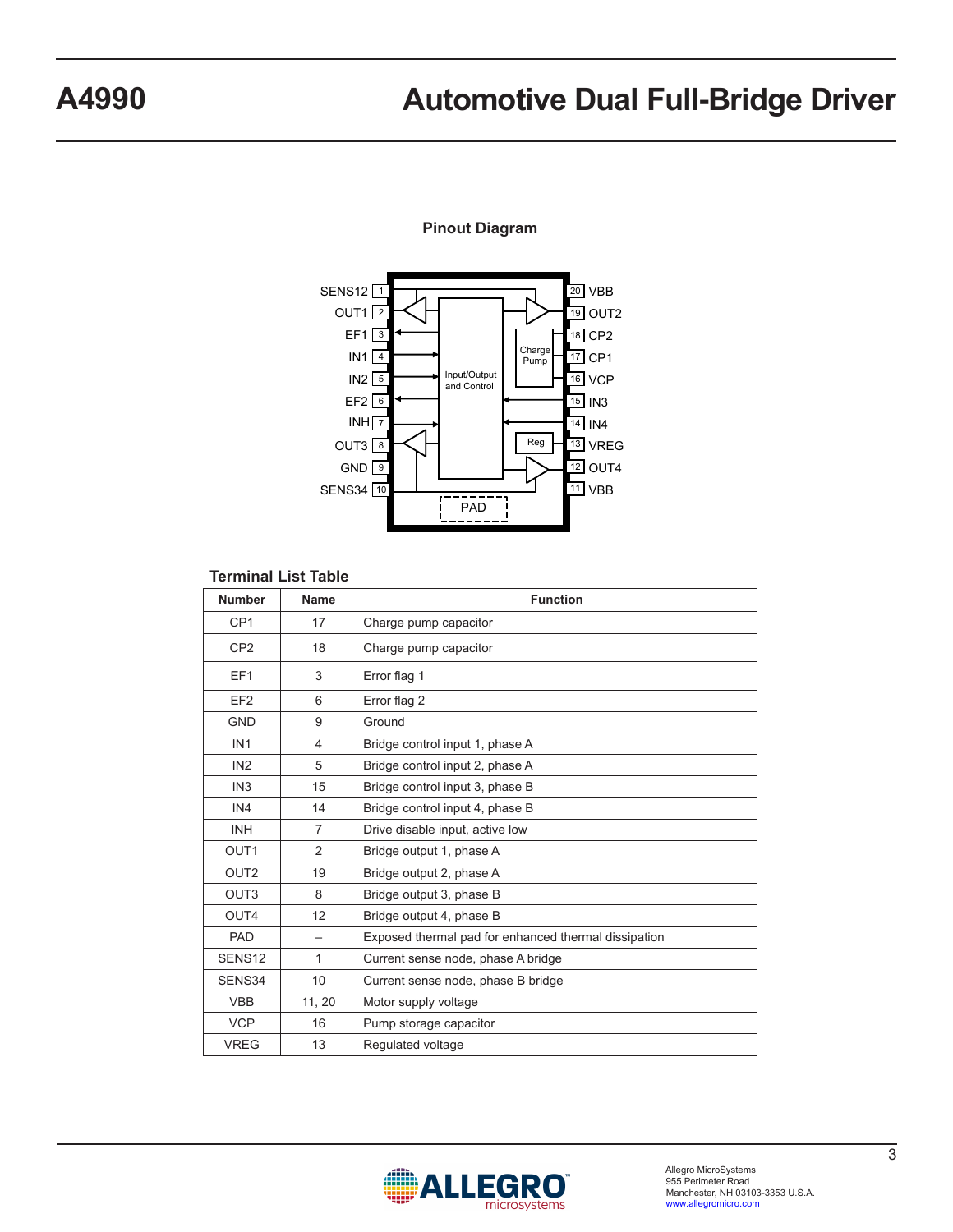### **Pinout Diagram**



### **Terminal List Table**

| <b>Number</b>      | Name           | <b>Function</b>                                      |
|--------------------|----------------|------------------------------------------------------|
| CP <sub>1</sub>    | 17             | Charge pump capacitor                                |
| CP <sub>2</sub>    | 18             | Charge pump capacitor                                |
| EF <sub>1</sub>    | 3              | Error flag 1                                         |
| EF <sub>2</sub>    | 6              | Error flag 2                                         |
| <b>GND</b>         | 9              | Ground                                               |
| IN <sub>1</sub>    | 4              | Bridge control input 1, phase A                      |
| IN <sub>2</sub>    | 5              | Bridge control input 2, phase A                      |
| IN <sub>3</sub>    | 15             | Bridge control input 3, phase B                      |
| IN4                | 14             | Bridge control input 4, phase B                      |
| <b>INH</b>         | $\overline{7}$ | Drive disable input, active low                      |
| OUT <sub>1</sub>   | $\mathcal{P}$  | Bridge output 1, phase A                             |
| OUT <sub>2</sub>   | 19             | Bridge output 2, phase A                             |
| OUT <sub>3</sub>   | 8              | Bridge output 3, phase B                             |
| OUT4               | 12             | Bridge output 4, phase B                             |
| <b>PAD</b>         |                | Exposed thermal pad for enhanced thermal dissipation |
| SENS <sub>12</sub> | $\mathbf{1}$   | Current sense node, phase A bridge                   |
| SENS34             | 10             | Current sense node, phase B bridge                   |
| <b>VBB</b>         | 11, 20         | Motor supply voltage                                 |
| <b>VCP</b>         | 16             | Pump storage capacitor                               |
| <b>VREG</b>        | 13             | Regulated voltage                                    |

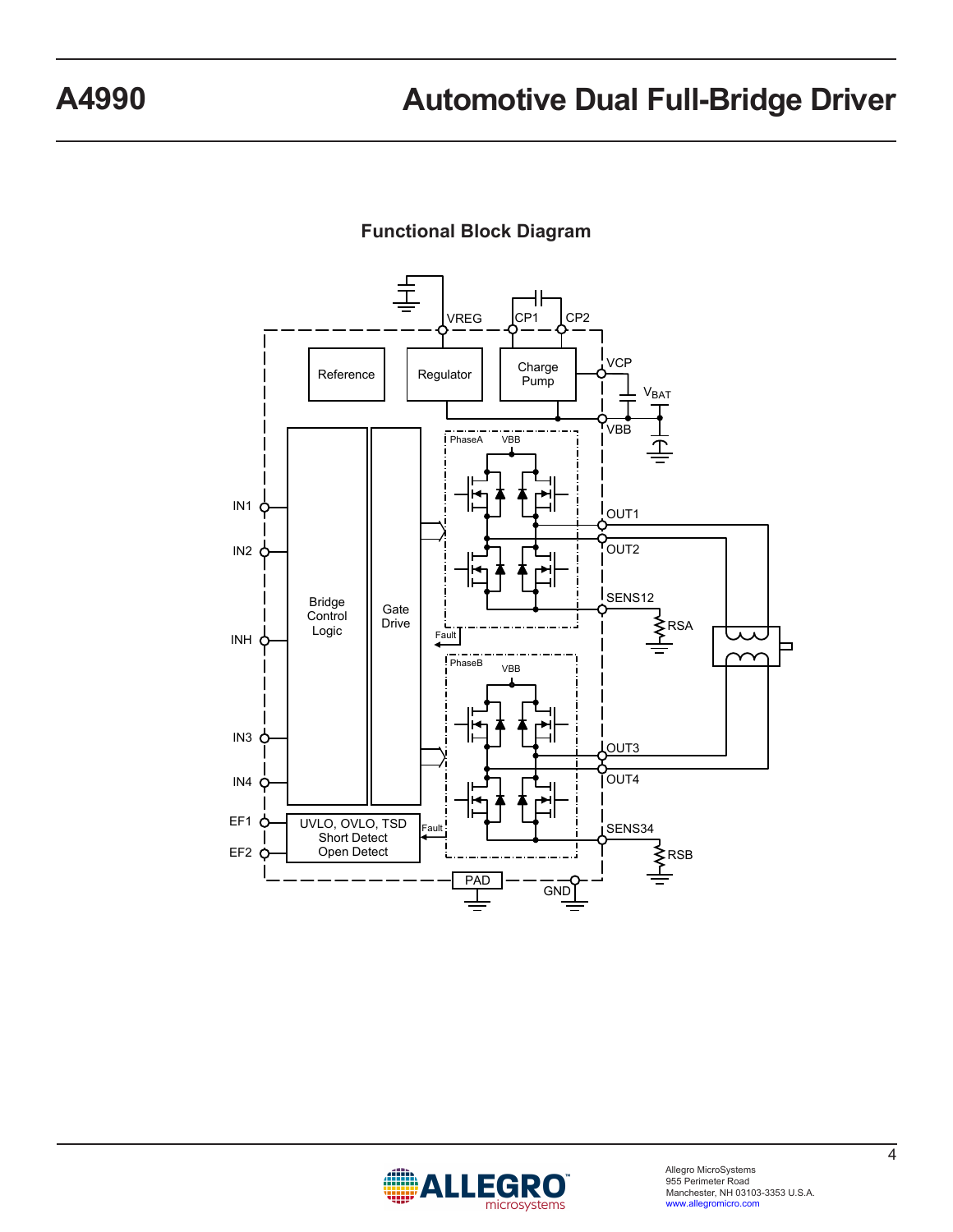

## **Functional Block Diagram**

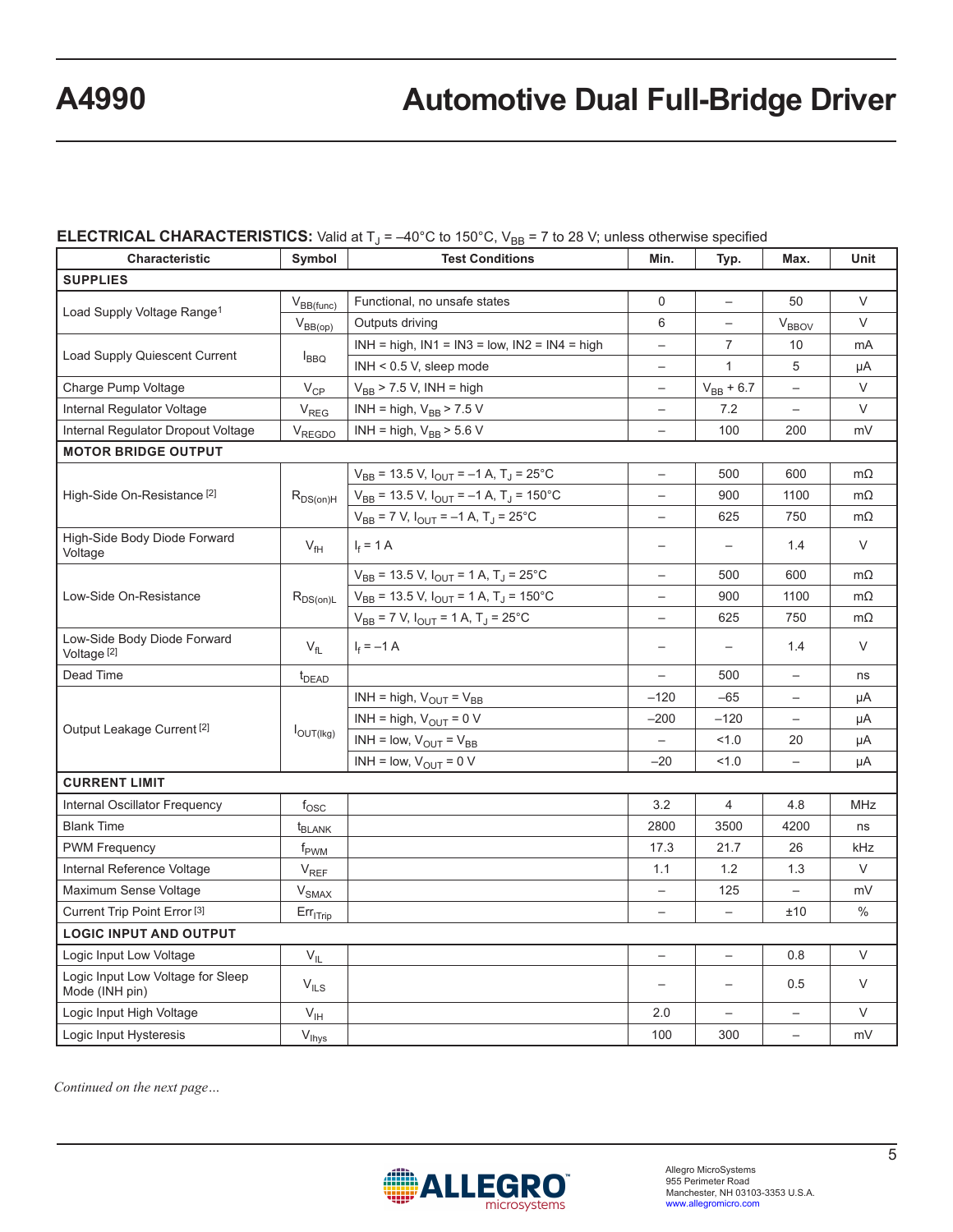### **ELECTRICAL CHARACTERISTICS:** Valid at  $T_J = -40^{\circ}$ C to 150 $^{\circ}$ C, V<sub>BB</sub> = 7 to 28 V; unless otherwise specified

| <b>Characteristic</b><br>Symbol                       |                             | <b>Test Conditions</b>                                       | Min.                     | Typ.                     | Max.                     | Unit      |
|-------------------------------------------------------|-----------------------------|--------------------------------------------------------------|--------------------------|--------------------------|--------------------------|-----------|
| <b>SUPPLIES</b>                                       |                             |                                                              |                          |                          |                          |           |
|                                                       | $V_{BB(func)}$              | Functional, no unsafe states                                 | $\Omega$                 | $\qquad \qquad -$        | 50                       | $\vee$    |
| Load Supply Voltage Range <sup>1</sup>                | $V_{BB(op)}$                | Outputs driving                                              | 6                        | $\qquad \qquad -$        | <b>V<sub>BBOV</sub></b>  | $\vee$    |
|                                                       |                             | $INH = high$ , $IN1 = IN3 = low$ , $IN2 = IN4 = high$        | $\overline{\phantom{0}}$ | $\overline{7}$           | 10                       | mA        |
| <b>Load Supply Quiescent Current</b>                  | $I_{\text{BBO}}$            | $INH < 0.5 V$ , sleep mode                                   | $\overline{\phantom{0}}$ | $\mathbf{1}$             | 5                        | μA        |
| Charge Pump Voltage                                   | $V_{CP}$                    | $V_{BB}$ > 7.5 V, INH = high                                 | $\overline{\phantom{0}}$ | $V_{BB} + 6.7$           |                          | $\vee$    |
| Internal Regulator Voltage                            | $V_{REG}$                   | INH = high, $V_{BB}$ > 7.5 V                                 | $\overline{\phantom{0}}$ | 7.2                      | $\overline{\phantom{m}}$ | $\vee$    |
| Internal Regulator Dropout Voltage                    | V <sub>REGDO</sub>          | INH = high, $V_{BB}$ > 5.6 V                                 | $\overline{\phantom{0}}$ | 100                      | 200                      | mV        |
| <b>MOTOR BRIDGE OUTPUT</b>                            |                             |                                                              |                          |                          |                          |           |
|                                                       |                             | $V_{BB}$ = 13.5 V, $I_{OUT}$ = -1 A, T <sub>J</sub> = 25°C   | $\overline{\phantom{0}}$ | 500                      | 600                      | $m\Omega$ |
| High-Side On-Resistance <sup>[2]</sup>                | $R_{DS(on)H}$               | $V_{BB}$ = 13.5 V, $I_{OUT}$ = -1 A, T <sub>J</sub> = 150 °C | $\overline{\phantom{0}}$ | 900                      | 1100                     | $m\Omega$ |
|                                                       |                             | $V_{BB} = 7 V$ , $I_{OUT} = -1 A$ , $T_J = 25$ °C            | $\overline{\phantom{0}}$ | 625                      | 750                      | $m\Omega$ |
| High-Side Body Diode Forward<br>Voltage               | $V_{\text{fH}}$             | $I_f = 1 A$                                                  | $\overline{\phantom{0}}$ | $\overline{\phantom{0}}$ | 1.4                      | V         |
|                                                       |                             | $V_{BB}$ = 13.5 V, $I_{OUT}$ = 1 A, T <sub>J</sub> = 25°C    |                          | 500                      | 600                      | $m\Omega$ |
| Low-Side On-Resistance                                | $R_{DS(on)L}$               | $V_{BB}$ = 13.5 V, $I_{OUT}$ = 1 A, T <sub>J</sub> = 150°C   |                          | 900                      | 1100                     | $m\Omega$ |
|                                                       |                             | $V_{BB}$ = 7 V, $I_{OUT}$ = 1 A, T <sub>J</sub> = 25°C       |                          | 625                      | 750                      | $m\Omega$ |
| Low-Side Body Diode Forward<br>Voltage <sup>[2]</sup> | $V_{\rm fl}$                | $I_f = -1 A$                                                 | $\overline{\phantom{0}}$ | $\overline{\phantom{0}}$ | 1.4                      | $\vee$    |
| Dead Time<br>t <sub>DEAD</sub>                        |                             |                                                              | $\overline{\phantom{0}}$ | 500                      | $\qquad \qquad -$        | ns        |
|                                                       |                             | INH = high, $V_{OUT} = V_{BB}$                               | $-120$                   | $-65$                    | $\overline{\phantom{0}}$ | μA        |
|                                                       |                             | INH = high, $V_{OUT}$ = 0 V                                  | $-200$                   | $-120$                   | $\qquad \qquad -$        | μA        |
| Output Leakage Current <sup>[2]</sup>                 | $I_{\text{OUT(Ikg)}}$       | $INH = low, VOUT = VBB$                                      | $\overline{\phantom{0}}$ | 1.0                      | 20                       | μA        |
|                                                       |                             | INH = low, $V_{OUT}$ = 0 V                                   | $-20$                    | 1.0                      |                          | μA        |
| <b>CURRENT LIMIT</b>                                  |                             |                                                              |                          |                          |                          |           |
| Internal Oscillator Frequency                         | $f_{\rm OSC}$               |                                                              | 3.2                      | $\overline{4}$           | 4.8                      | MHz       |
| <b>Blank Time</b>                                     | t <sub>BLANK</sub>          |                                                              | 2800                     | 3500                     | 4200                     | ns        |
| <b>PWM Frequency</b>                                  | f <sub>PWM</sub>            |                                                              | 17.3                     | 21.7                     | 26                       | kHz       |
| Internal Reference Voltage                            | $\mathsf{V}_{\mathsf{REF}}$ |                                                              | 1.1                      | 1.2                      | 1.3                      | $\vee$    |
| Maximum Sense Voltage                                 | $V_{SMAX}$                  |                                                              | $\equiv$                 | 125                      | $\overline{\phantom{0}}$ | mV        |
| Current Trip Point Error <sup>[3]</sup>               | $Err_{ITrip}$               |                                                              | $\overline{\phantom{0}}$ | $\equiv$                 | ±10                      | $\%$      |
| <b>LOGIC INPUT AND OUTPUT</b>                         |                             |                                                              |                          |                          |                          |           |
| Logic Input Low Voltage                               | $V_{IL}$                    |                                                              | $\equiv$                 | $\overline{\phantom{0}}$ | 0.8                      | $\vee$    |
| Logic Input Low Voltage for Sleep<br>Mode (INH pin)   | $\mathsf{V}_{\mathsf{ILS}}$ |                                                              | $\overline{\phantom{m}}$ |                          | 0.5                      | V         |
| Logic Input High Voltage                              | $V_{\text{IH}}$             |                                                              | 2.0                      |                          |                          | $\vee$    |
| $V_{\text{lhys}}$<br>Logic Input Hysteresis           |                             |                                                              | 100                      | 300                      | $\overline{\phantom{0}}$ | mV        |

*Continued on the next page…*

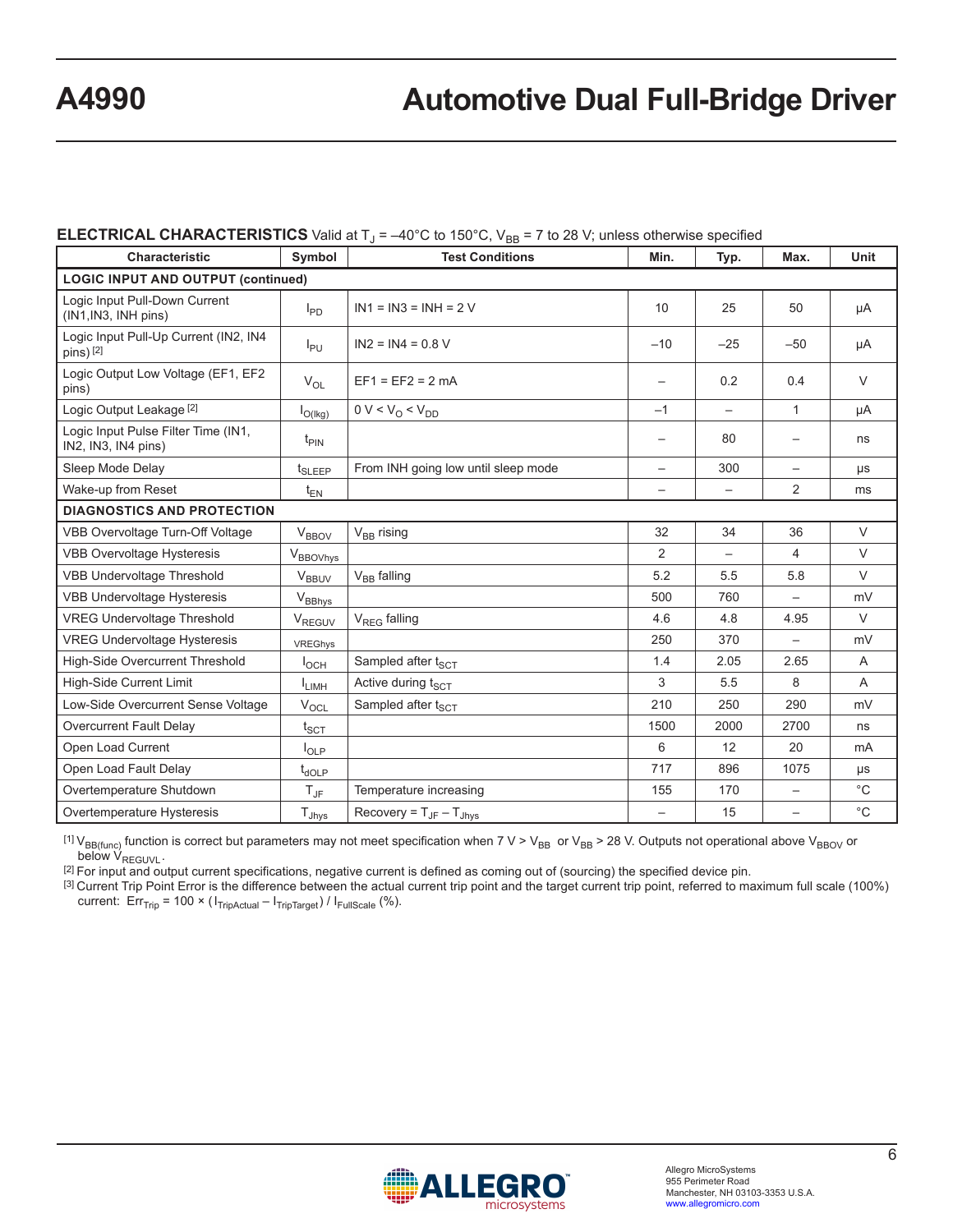### **ELECTRICAL CHARACTERISTICS** Valid at  $T_1 = -40^{\circ}$ C to 150 $^{\circ}$ C, V<sub>BB</sub> = 7 to 28 V; unless otherwise specified

| <b>Characteristic</b>                                      | Symbol                                    | <b>Test Conditions</b>                       | Min.                     | Typ.                     | Max.                     | Unit           |  |
|------------------------------------------------------------|-------------------------------------------|----------------------------------------------|--------------------------|--------------------------|--------------------------|----------------|--|
|                                                            | <b>LOGIC INPUT AND OUTPUT (continued)</b> |                                              |                          |                          |                          |                |  |
| Logic Input Pull-Down Current<br>(IN1, IN3, INH pins)      | $I_{PD}$                                  | $IN1 = IN3 = INH = 2 V$                      | 10                       | 25                       | 50                       | μA             |  |
| Logic Input Pull-Up Current (IN2, IN4<br>pins) [2]         | $I_{PU}$                                  | $IN2 = IN4 = 0.8 V$                          | $-10$                    | $-25$                    | $-50$                    | μA             |  |
| Logic Output Low Voltage (EF1, EF2<br>pins)                | $V_{OL}$                                  | $EF1 = EF2 = 2 mA$                           |                          | 0.2                      | 0.4                      | $\vee$         |  |
| Logic Output Leakage [2]                                   | $I_{O(lkg)}$                              | $0 V < V_0 < V_{DD}$                         | $-1$                     | $\overline{\phantom{0}}$ | $\mathbf{1}$             | μA             |  |
| Logic Input Pulse Filter Time (IN1,<br>IN2, IN3, IN4 pins) | $t_{\text{PIN}}$                          |                                              |                          | 80                       |                          | ns             |  |
| Sleep Mode Delay                                           | t <sub>SLEEP</sub>                        | From INH going low until sleep mode          | $\overline{\phantom{0}}$ | 300                      | $\qquad \qquad -$        | μs             |  |
| Wake-up from Reset                                         | $t_{EN}$                                  |                                              |                          |                          | $\overline{2}$           | ms             |  |
| <b>DIAGNOSTICS AND PROTECTION</b>                          |                                           |                                              |                          |                          |                          |                |  |
| VBB Overvoltage Turn-Off Voltage                           | $V_{\text{BBOV}}$                         | V <sub>BB</sub> rising                       | 32                       | 34                       | 36                       | $\vee$         |  |
| <b>VBB Overvoltage Hysteresis</b>                          | $V_{\text{BBOVhys}}$                      |                                              | 2                        |                          | 4                        | $\vee$         |  |
| <b>VBB Undervoltage Threshold</b>                          | <b>V<sub>BBUV</sub></b>                   | $V_{BB}$ falling                             | 5.2                      | 5.5                      | 5.8                      | $\vee$         |  |
| VBB Undervoltage Hysteresis                                | $V_{BBhys}$                               |                                              | 500                      | 760                      |                          | mV             |  |
| <b>VREG Undervoltage Threshold</b>                         | V <sub>REGUV</sub>                        | $V_{REG}$ falling                            | 4.6                      | 4.8                      | 4.95                     | $\vee$         |  |
| <b>VREG Undervoltage Hysteresis</b>                        | VREGhys                                   |                                              | 250                      | 370                      |                          | mV             |  |
| High-Side Overcurrent Threshold                            | $I_{OCH}$                                 | Sampled after t <sub>SCT</sub>               | 1.4                      | 2.05                     | 2.65                     | $\overline{A}$ |  |
| <b>High-Side Current Limit</b>                             | <b>I</b> LIMH                             | Active during t <sub>SCT</sub>               | 3                        | 5.5                      | 8                        | A              |  |
| Low-Side Overcurrent Sense Voltage                         | $V_{\text{OCL}}$                          | Sampled after t <sub>SCT</sub>               | 210                      | 250                      | 290                      | mV             |  |
| Overcurrent Fault Delay                                    | $t_{\text{SCT}}$                          |                                              | 1500                     | 2000                     | 2700                     | ns             |  |
| Open Load Current                                          | $I_{OLP}$                                 |                                              | 6                        | 12                       | 20                       | mA             |  |
| Open Load Fault Delay                                      | $t_{\text{dOLP}}$                         |                                              | 717                      | 896                      | 1075                     | μs             |  |
| Overtemperature Shutdown                                   | $T_{\text{JF}}$                           | Temperature increasing                       | 155                      | 170                      |                          | $^{\circ}$ C   |  |
| Overtemperature Hysteresis                                 | $T_{Jhys}$                                | Recovery = $T_{\text{JF}} - T_{\text{Jhvs}}$ | $\overline{\phantom{m}}$ | 15                       | $\overline{\phantom{0}}$ | $^{\circ}C$    |  |

<sup>[1] V</sup>BB(func) function is correct but parameters may not meet specification when 7 V > V<sub>BB</sub> or V<sub>BB</sub> > 28 V. Outputs not operational above V<sub>BBOV</sub> or below V<sub>REGUVL</sub>. below V<sub>REGUVL</sub>.<br><sup>[2]</sup> For input and output current specifications, negative current is defined as coming out of (sourcing) the specified device pin.

 $^{[3]}$  Current Trip Point Error is the difference between the actual current trip point and the target current trip point, referred to maximum full scale (100%) current:  $Err_{Tip} = 100 \times (I_{TripActual} - I_{TripTarget}) / I_{FullScale}$  (%).

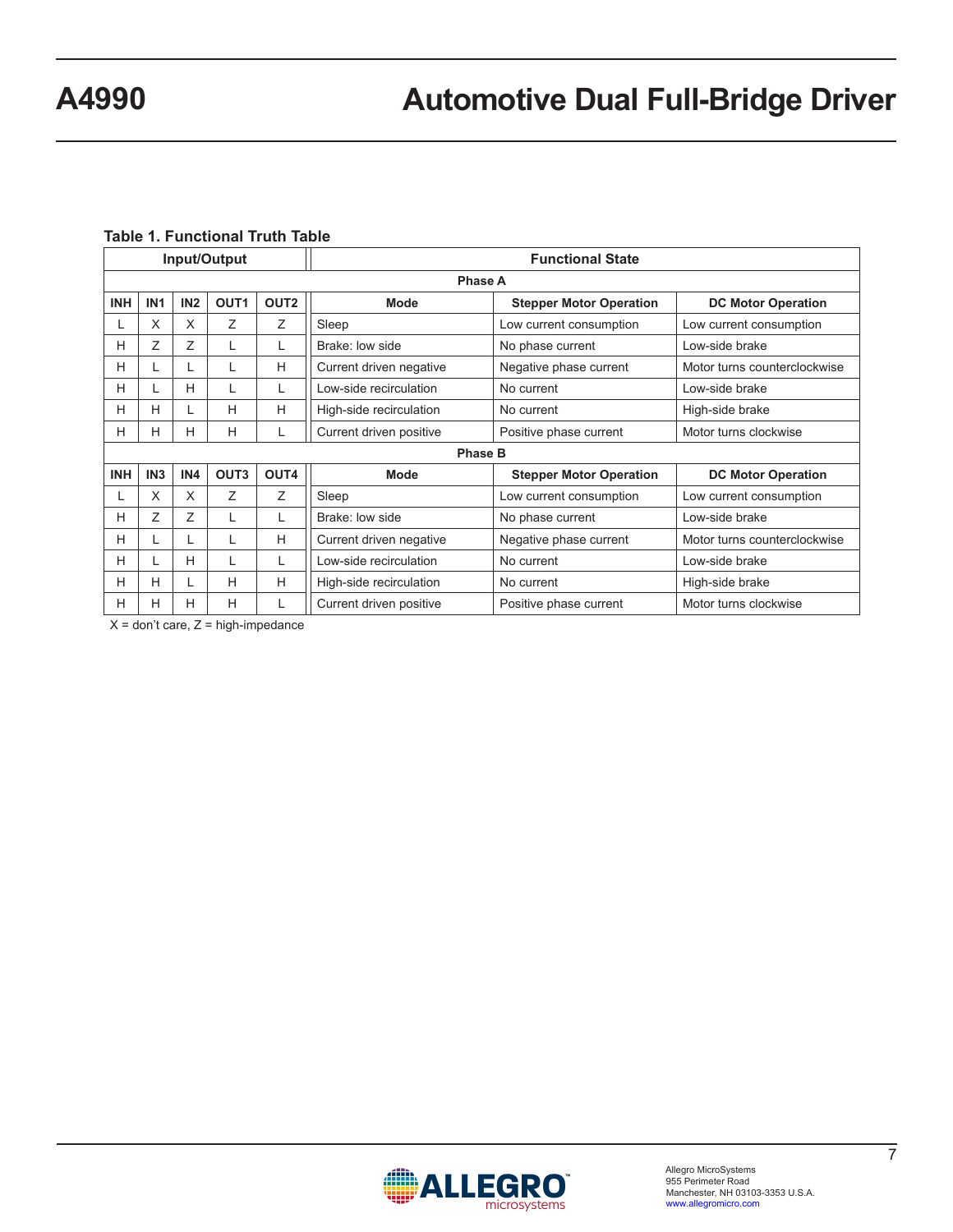### **Table 1. Functional Truth Table**

| Input/Output |                 |                 |                  |                  | <b>Functional State</b> |                                |                              |  |
|--------------|-----------------|-----------------|------------------|------------------|-------------------------|--------------------------------|------------------------------|--|
|              |                 |                 |                  |                  | Phase A                 |                                |                              |  |
| <b>INH</b>   | IN <sub>1</sub> | IN <sub>2</sub> | OUT <sub>1</sub> | OUT <sub>2</sub> | Mode                    | <b>Stepper Motor Operation</b> | <b>DC Motor Operation</b>    |  |
|              | X               | X               | Ζ                | Z                | Sleep                   | Low current consumption        | Low current consumption      |  |
| н            | Ζ               | Ζ               | L                | L                | Brake: low side         | No phase current               | Low-side brake               |  |
| н            |                 |                 | L                | H                | Current driven negative | Negative phase current         | Motor turns counterclockwise |  |
| н            |                 | н               | L                | L                | Low-side recirculation  | No current                     | Low-side brake               |  |
| н            | H               | L               | H                | H                | High-side recirculation | No current                     | High-side brake              |  |
| н            | H               | H               | H                | L                | Current driven positive | Positive phase current         | Motor turns clockwise        |  |
|              |                 |                 |                  |                  | <b>Phase B</b>          |                                |                              |  |
| <b>INH</b>   | IN <sub>3</sub> | IN4             | OUT <sub>3</sub> | OUT4             | Mode                    | <b>Stepper Motor Operation</b> | <b>DC Motor Operation</b>    |  |
|              | X               | X               | Z                | Z                | Sleep                   | Low current consumption        | Low current consumption      |  |
| н            | 7               | $\overline{z}$  | L                | L                | Brake: low side         | No phase current               | Low-side brake               |  |
| н            |                 | L               | L                | H                | Current driven negative | Negative phase current         | Motor turns counterclockwise |  |
| н            |                 | H               |                  | L                | Low-side recirculation  | No current                     | Low-side brake               |  |
| н            | н               | L               | H                | H                | High-side recirculation | No current                     | High-side brake              |  |
| н            | H               | H               | H                | L                | Current driven positive | Positive phase current         | Motor turns clockwise        |  |

 $X =$  don't care,  $Z =$  high-impedance

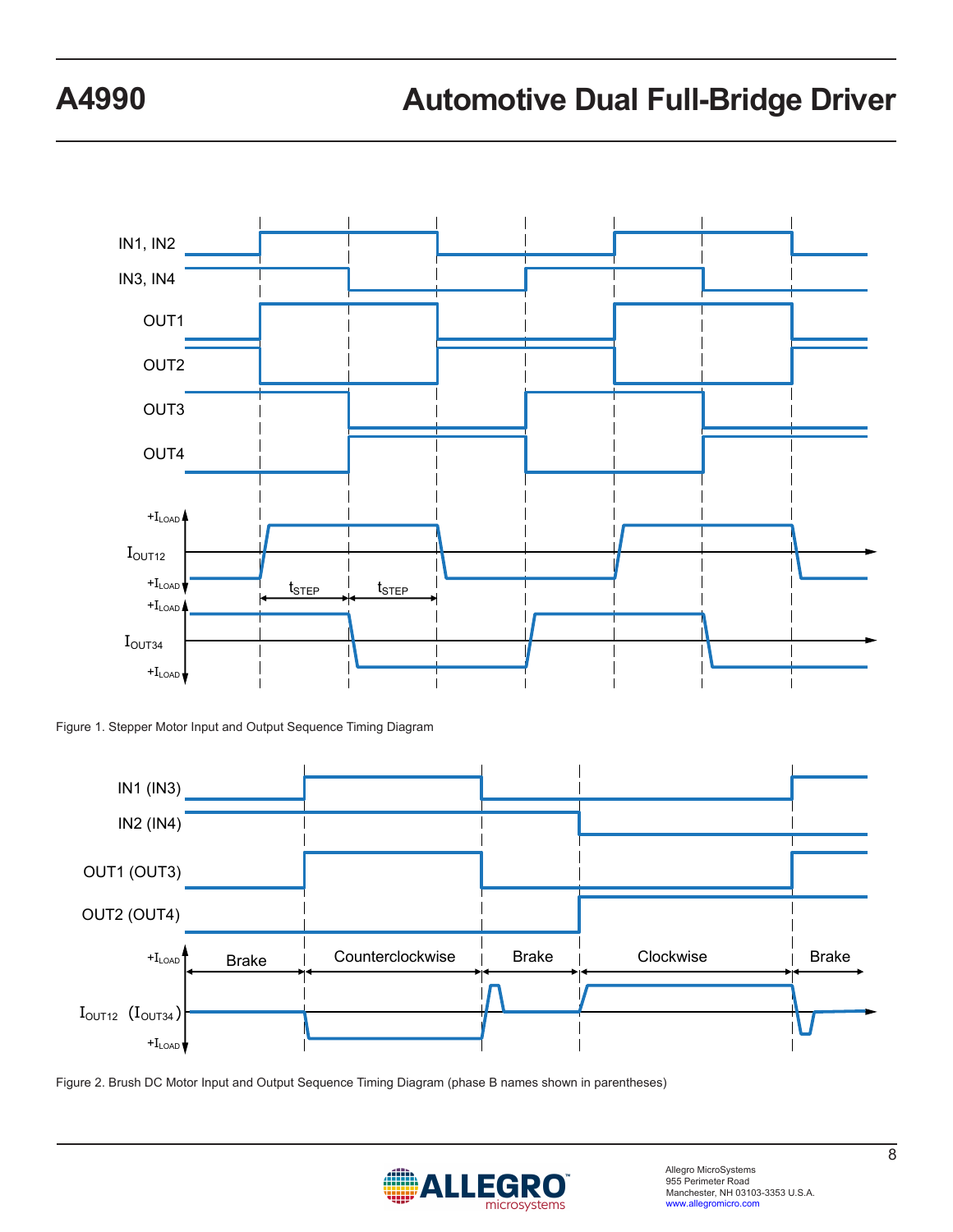

Figure 1. Stepper Motor Input and Output Sequence Timing Diagram



Figure 2. Brush DC Motor Input and Output Sequence Timing Diagram (phase B names shown in parentheses)

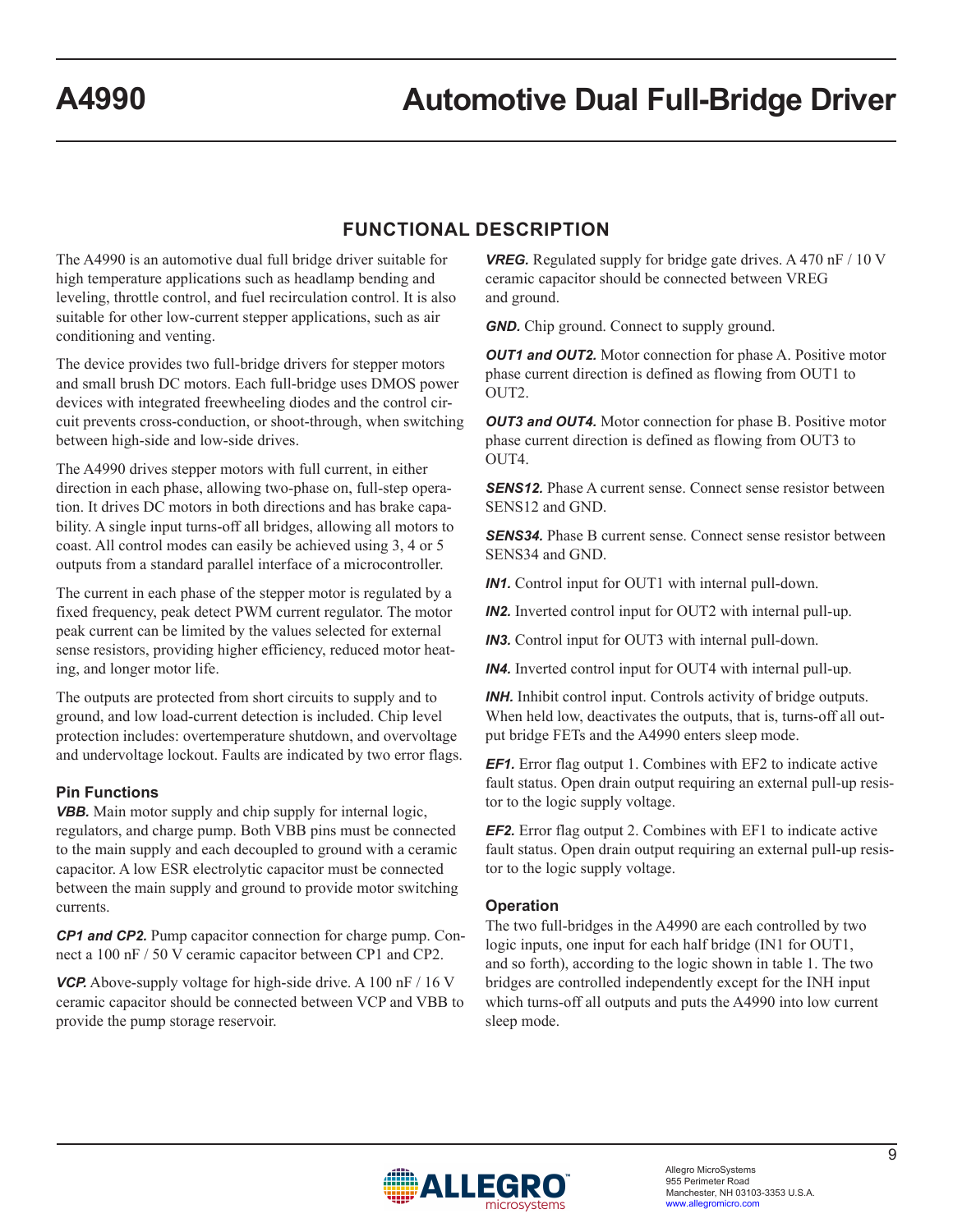## **FUNCTIONAL DESCRIPTION**

The A4990 is an automotive dual full bridge driver suitable for high temperature applications such as headlamp bending and leveling, throttle control, and fuel recirculation control. It is also suitable for other low-current stepper applications, such as air conditioning and venting.

The device provides two full-bridge drivers for stepper motors and small brush DC motors. Each full-bridge uses DMOS power devices with integrated freewheeling diodes and the control circuit prevents cross-conduction, or shoot-through, when switching between high-side and low-side drives.

The A4990 drives stepper motors with full current, in either direction in each phase, allowing two-phase on, full-step operation. It drives DC motors in both directions and has brake capability. A single input turns-off all bridges, allowing all motors to coast. All control modes can easily be achieved using 3, 4 or 5 outputs from a standard parallel interface of a microcontroller.

The current in each phase of the stepper motor is regulated by a fixed frequency, peak detect PWM current regulator. The motor peak current can be limited by the values selected for external sense resistors, providing higher efficiency, reduced motor heating, and longer motor life.

The outputs are protected from short circuits to supply and to ground, and low load-current detection is included. Chip level protection includes: overtemperature shutdown, and overvoltage and undervoltage lockout. Faults are indicated by two error flags.

### **Pin Functions**

*VBB.* Main motor supply and chip supply for internal logic, regulators, and charge pump. Both VBB pins must be connected to the main supply and each decoupled to ground with a ceramic capacitor. A low ESR electrolytic capacitor must be connected between the main supply and ground to provide motor switching currents.

*CP1 and CP2.* Pump capacitor connection for charge pump. Connect a 100 nF / 50 V ceramic capacitor between CP1 and CP2.

*VCP.* Above-supply voltage for high-side drive. A 100 nF / 16 V ceramic capacitor should be connected between VCP and VBB to provide the pump storage reservoir.

*VREG.* Regulated supply for bridge gate drives. A 470 nF / 10 V ceramic capacitor should be connected between VREG and ground.

**GND.** Chip ground. Connect to supply ground.

*OUT1 and OUT2.* Motor connection for phase A. Positive motor phase current direction is defined as flowing from OUT1 to OUT2.

*OUT3 and OUT4.* Motor connection for phase B. Positive motor phase current direction is defined as flowing from OUT3 to OUT4.

**SENS12.** Phase A current sense. Connect sense resistor between SENS12 and GND.

**SENS34.** Phase B current sense. Connect sense resistor between SENS34 and GND.

*IN1.* Control input for OUT1 with internal pull-down.

*IN2.* Inverted control input for OUT2 with internal pull-up.

*IN3.* Control input for OUT3 with internal pull-down.

*IN4.* Inverted control input for OUT4 with internal pull-up.

*INH.* Inhibit control input. Controls activity of bridge outputs. When held low, deactivates the outputs, that is, turns-off all output bridge FETs and the A4990 enters sleep mode.

*EF1.* Error flag output 1. Combines with EF2 to indicate active fault status. Open drain output requiring an external pull-up resistor to the logic supply voltage.

*EF2.* Error flag output 2. Combines with EF1 to indicate active fault status. Open drain output requiring an external pull-up resistor to the logic supply voltage.

### **Operation**

The two full-bridges in the A4990 are each controlled by two logic inputs, one input for each half bridge (IN1 for OUT1, and so forth), according to the logic shown in table 1. The two bridges are controlled independently except for the INH input which turns-off all outputs and puts the A4990 into low current sleep mode.

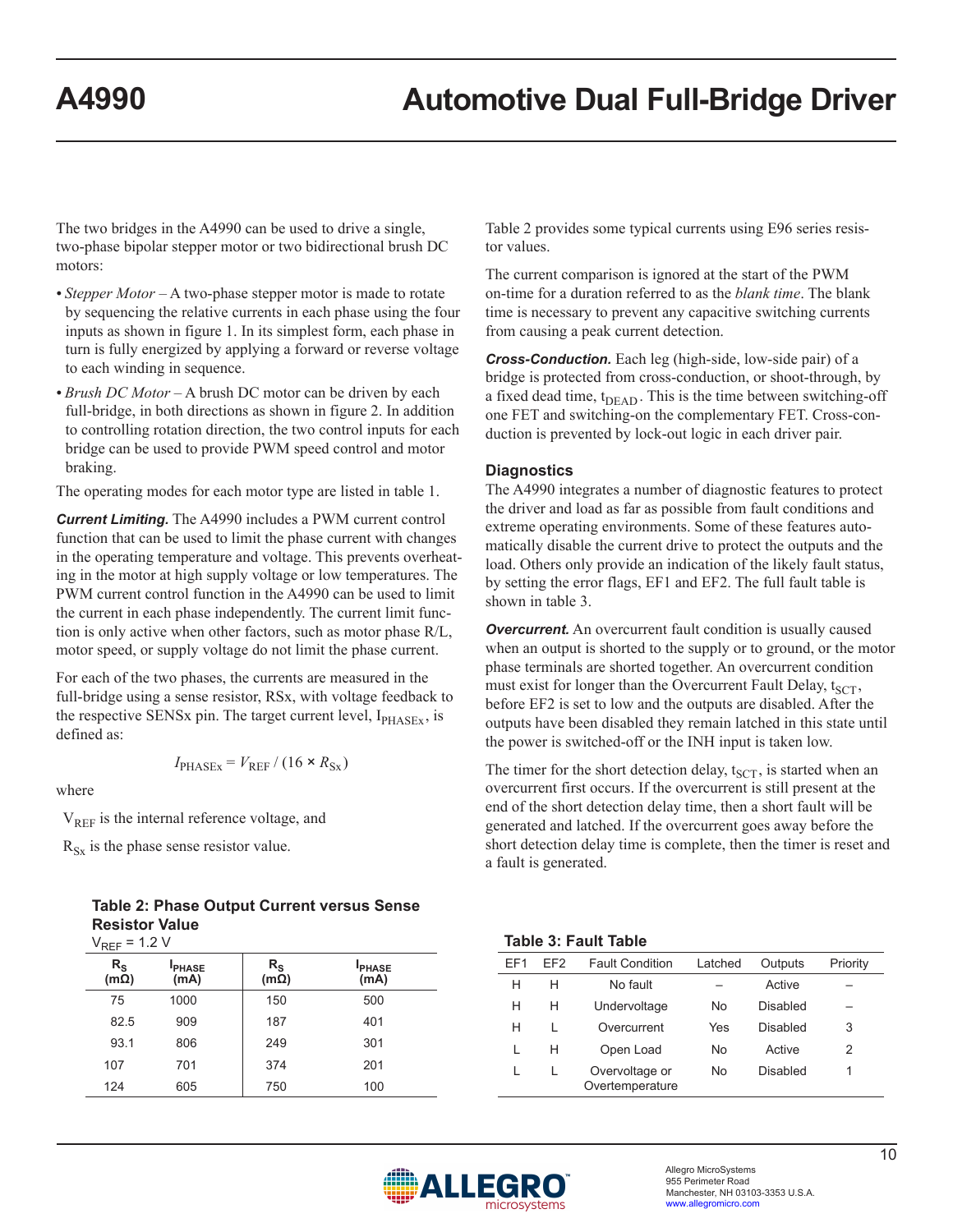The two bridges in the A4990 can be used to drive a single, two-phase bipolar stepper motor or two bidirectional brush DC motors:

- *Stepper Motor* A two-phase stepper motor is made to rotate by sequencing the relative currents in each phase using the four inputs as shown in figure 1. In its simplest form, each phase in turn is fully energized by applying a forward or reverse voltage to each winding in sequence.
- *Brush DC Motor* A brush DC motor can be driven by each full-bridge, in both directions as shown in figure 2. In addition to controlling rotation direction, the two control inputs for each bridge can be used to provide PWM speed control and motor braking.

The operating modes for each motor type are listed in table 1.

*Current Limiting.* The A4990 includes a PWM current control function that can be used to limit the phase current with changes in the operating temperature and voltage. This prevents overheating in the motor at high supply voltage or low temperatures. The PWM current control function in the A4990 can be used to limit the current in each phase independently. The current limit function is only active when other factors, such as motor phase R/L, motor speed, or supply voltage do not limit the phase current.

For each of the two phases, the currents are measured in the full-bridge using a sense resistor, RSx, with voltage feedback to the respective SENSx pin. The target current level,  $I_{PHASEX}$ , is defined as:

$$
I_{\text{PHASEx}} = V_{\text{REF}} / (16 \times R_{\text{Sx}})
$$

where

 $V<sub>REF</sub>$  is the internal reference voltage, and

 $R_{Sx}$  is the phase sense resistor value.

**Table 2: Phase Output Current versus Sense Resistor Value**  $V_{\text{per}} = 1.2 V$ 

| * KEF                                       | $\sim$               |                            |                      |
|---------------------------------------------|----------------------|----------------------------|----------------------|
| $R_{\scriptstyle\textrm{S}}$<br>$(m\Omega)$ | <b>PHASE</b><br>(mA) | $R_{\rm S}$<br>$(m\Omega)$ | <b>PHASE</b><br>(mA) |
| 75                                          | 1000                 | 150                        | 500                  |
| 82.5                                        | 909                  | 187                        | 401                  |
| 93.1                                        | 806                  | 249                        | 301                  |
| 107                                         | 701                  | 374                        | 201                  |
| 124                                         | 605                  | 750                        | 100                  |

Table 2 provides some typical currents using E96 series resistor values.

The current comparison is ignored at the start of the PWM on-time for a duration referred to as the *blank time*. The blank time is necessary to prevent any capacitive switching currents from causing a peak current detection.

*Cross-Conduction.* Each leg (high-side, low-side pair) of a bridge is protected from cross-conduction, or shoot-through, by a fixed dead time,  $t_{\text{DEAD}}$ . This is the time between switching-off one FET and switching-on the complementary FET. Cross-conduction is prevented by lock-out logic in each driver pair.

### **Diagnostics**

The A4990 integrates a number of diagnostic features to protect the driver and load as far as possible from fault conditions and extreme operating environments. Some of these features automatically disable the current drive to protect the outputs and the load. Others only provide an indication of the likely fault status, by setting the error flags, EF1 and EF2. The full fault table is shown in table 3.

**Overcurrent.** An overcurrent fault condition is usually caused when an output is shorted to the supply or to ground, or the motor phase terminals are shorted together. An overcurrent condition must exist for longer than the Overcurrent Fault Delay,  $t_{SCT}$ , before EF2 is set to low and the outputs are disabled. After the outputs have been disabled they remain latched in this state until the power is switched-off or the INH input is taken low.

The timer for the short detection delay,  $t_{SCT}$ , is started when an overcurrent first occurs. If the overcurrent is still present at the end of the short detection delay time, then a short fault will be generated and latched. If the overcurrent goes away before the short detection delay time is complete, then the timer is reset and a fault is generated.

### **Table 3: Fault Table**

| FF1 | FF2 | <b>Fault Condition</b>            | Latched | Outputs  | Priority |
|-----|-----|-----------------------------------|---------|----------|----------|
| н   | н   | No fault                          |         | Active   |          |
| н   | н   | Undervoltage                      | No.     | Disabled |          |
| н   |     | Overcurrent                       | Yes     | Disabled | 3        |
|     | н   | Open Load                         | No.     | Active   | 2        |
|     |     | Overvoltage or<br>Overtemperature | No      | Disabled |          |

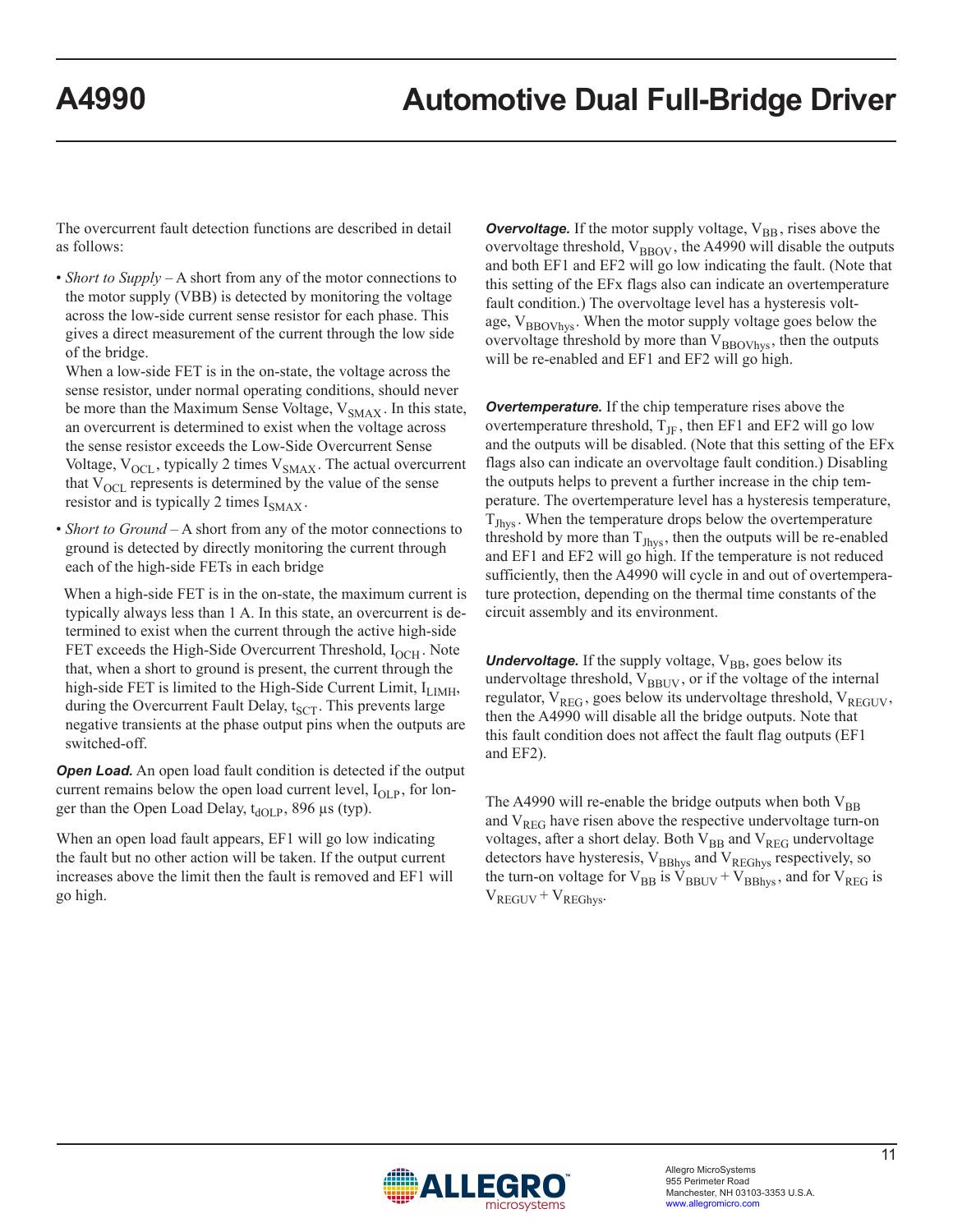The overcurrent fault detection functions are described in detail as follows:

• *Short to Supply* – A short from any of the motor connections to the motor supply (VBB) is detected by monitoring the voltage across the low-side current sense resistor for each phase. This gives a direct measurement of the current through the low side of the bridge.

When a low-side FET is in the on-state, the voltage across the sense resistor, under normal operating conditions, should never be more than the Maximum Sense Voltage,  $V_{SMAX}$ . In this state, an overcurrent is determined to exist when the voltage across the sense resistor exceeds the Low-Side Overcurrent Sense Voltage,  $V_{\text{OCL}}$ , typically 2 times  $V_{\text{SMAX}}$ . The actual overcurrent that  $V_{\text{OCL}}$  represents is determined by the value of the sense resistor and is typically 2 times  $I_{\text{SMAX}}$ .

• *Short to Ground* – A short from any of the motor connections to ground is detected by directly monitoring the current through each of the high-side FETs in each bridge

 When a high-side FET is in the on-state, the maximum current is typically always less than 1 A. In this state, an overcurrent is determined to exist when the current through the active high-side FET exceeds the High-Side Overcurrent Threshold,  $I_{OCH}$ . Note that, when a short to ground is present, the current through the high-side FET is limited to the High-Side Current Limit,  $I_{LIMH}$ , during the Overcurrent Fault Delay,  $t_{SCT}$ . This prevents large negative transients at the phase output pins when the outputs are switched-off.

*Open Load.* An open load fault condition is detected if the output current remains below the open load current level,  $I_{OLP}$ , for longer than the Open Load Delay,  $t_{dOLP}$ , 896 µs (typ).

When an open load fault appears, EF1 will go low indicating the fault but no other action will be taken. If the output current increases above the limit then the fault is removed and EF1 will go high.

**Overvoltage.** If the motor supply voltage,  $V_{BB}$ , rises above the overvoltage threshold,  $V_{\text{BBOV}}$ , the A4990 will disable the outputs and both EF1 and EF2 will go low indicating the fault. (Note that this setting of the EFx flags also can indicate an overtemperature fault condition.) The overvoltage level has a hysteresis voltage,  $V_{\text{BBOVhvs}}$ . When the motor supply voltage goes below the overvoltage threshold by more than  $V_{\text{BBOVhys}}$ , then the outputs will be re-enabled and EF1 and EF2 will go high.

*Overtemperature.* If the chip temperature rises above the overtemperature threshold,  $T_{\text{JF}}$ , then EF1 and EF2 will go low and the outputs will be disabled. (Note that this setting of the EFx flags also can indicate an overvoltage fault condition.) Disabling the outputs helps to prevent a further increase in the chip temperature. The overtemperature level has a hysteresis temperature,  $T_{Jhys}$ . When the temperature drops below the overtemperature threshold by more than  $T_{Jhys}$ , then the outputs will be re-enabled and EF1 and EF2 will go high. If the temperature is not reduced sufficiently, then the A4990 will cycle in and out of overtemperature protection, depending on the thermal time constants of the circuit assembly and its environment.

**Undervoltage.** If the supply voltage, V<sub>BB</sub>, goes below its undervoltage threshold, VBBUV, or if the voltage of the internal regulator,  $V_{REG}$ , goes below its undervoltage threshold,  $V_{REGUV}$ , then the A4990 will disable all the bridge outputs. Note that this fault condition does not affect the fault flag outputs (EF1 and EF2).

The A4990 will re-enable the bridge outputs when both  $V_{BB}$ and  $V_{REG}$  have risen above the respective undervoltage turn-on voltages, after a short delay. Both  $V_{BB}$  and  $V_{REG}$  undervoltage detectors have hysteresis,  $V_{BBhys}$  and  $V_{REGhys}$  respectively, so the turn-on voltage for  $V_{BB}$  is  $V_{BBUV} + V_{BBhys}$ , and for  $V_{REG}$  is  $V_{REGUV} + V_{REGhys}$ .

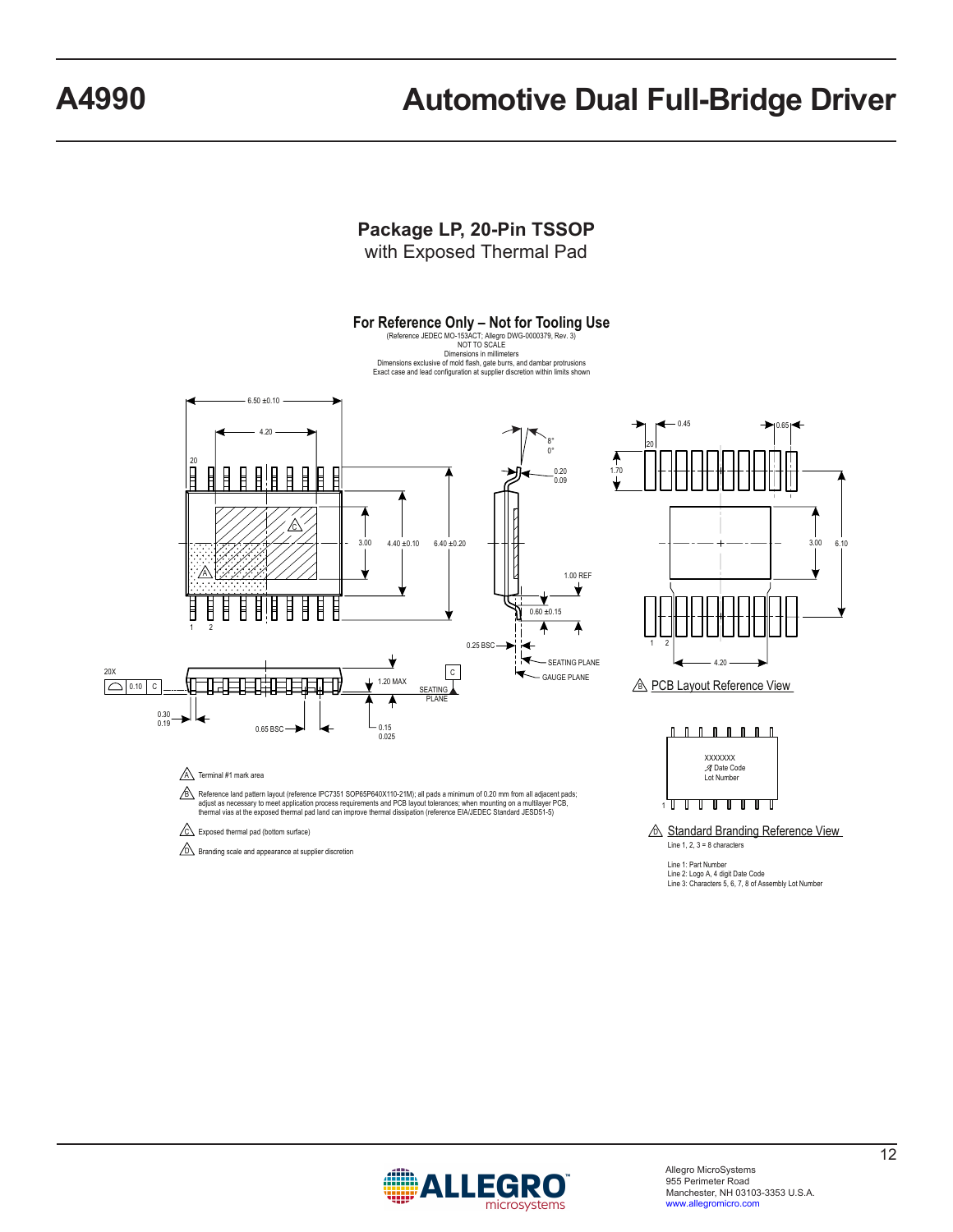

B Reference land pattern layout (reference IPC7351 SOP65P640X110-21M); all pads a minimum of 0.20 mm from all adjacent pads; adjust as necessary to meet application process requirements and PCB layout tolerances; when mounting on a multilayer PCB,<br>thermal vias at the exposed thermal pad land can improve thermal dissipation (reference EIAJEDEC St



 $\sqrt{D}$  Branding scale and appearance at supplier discretion

**A** Standard Branding Reference View Line  $1, 2, 3 = 8$  characters

6.10

1

Line 1: Part Number Line 2: Logo A, 4 digit Date Code Line 3: Characters 5, 6, 7, 8 of Assembly Lot Number